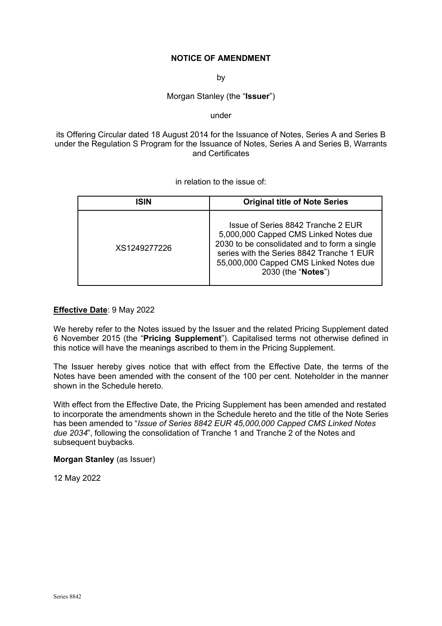# **NOTICE OF AMENDMENT**

by

Morgan Stanley (the "**Issuer**")

under

its Offering Circular dated 18 August 2014 for the Issuance of Notes, Series A and Series B under the Regulation S Program for the Issuance of Notes, Series A and Series B, Warrants and Certificates

in relation to the issue of:

| ISIN         | <b>Original title of Note Series</b>                                                                                                                                                                                                     |
|--------------|------------------------------------------------------------------------------------------------------------------------------------------------------------------------------------------------------------------------------------------|
| XS1249277226 | Issue of Series 8842 Tranche 2 EUR<br>5,000,000 Capped CMS Linked Notes due<br>2030 to be consolidated and to form a single<br>series with the Series 8842 Tranche 1 EUR<br>55,000,000 Capped CMS Linked Notes due<br>2030 (the "Notes") |

# **Effective Date**: 9 May 2022

We hereby refer to the Notes issued by the Issuer and the related Pricing Supplement dated 6 November 2015 (the "**Pricing Supplement**"). Capitalised terms not otherwise defined in this notice will have the meanings ascribed to them in the Pricing Supplement.

The Issuer hereby gives notice that with effect from the Effective Date, the terms of the Notes have been amended with the consent of the 100 per cent. Noteholder in the manner shown in the Schedule hereto.

With effect from the Effective Date, the Pricing Supplement has been amended and restated to incorporate the amendments shown in the Schedule hereto and the title of the Note Series has been amended to "*Issue of Series 8842 EUR 45,000,000 Capped CMS Linked Notes due 2034*", following the consolidation of Tranche 1 and Tranche 2 of the Notes and subsequent buybacks.

**Morgan Stanley** (as Issuer)

12 May 2022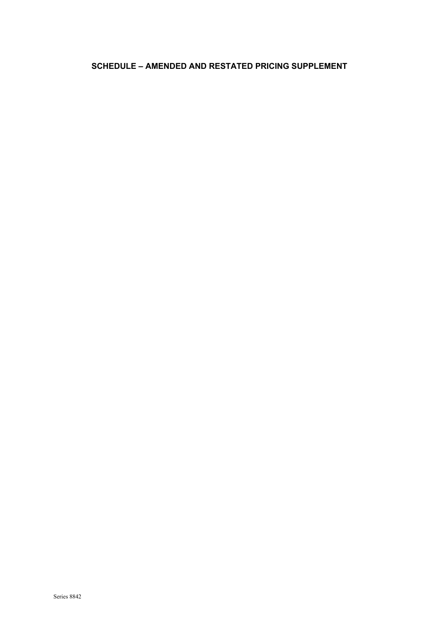# **SCHEDULE – AMENDED AND RESTATED PRICING SUPPLEMENT**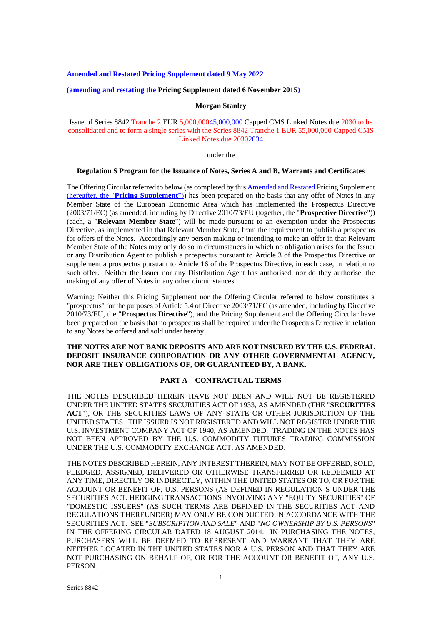### **Amended and Restated Pricing Supplement dated 9 May 2022**

### **(amending and restating the Pricing Supplement dated 6 November 2015)**

### **Morgan Stanley**

# Issue of Series 8842 Tranche 2 EUR 5,000,00045,000,000 Capped CMS Linked Notes due 2030 to be consolidated and to form a single series with the Series 8842 Tranche 1 EUR 55,000,000 Capped CMS Linked Notes due 20302034

under the

### **Regulation S Program for the Issuance of Notes, Series A and B, Warrants and Certificates**

The Offering Circular referred to below (as completed by this **Amended and Restated Pricing Supplement** (hereafter, the "**Pricing Supplement**")) has been prepared on the basis that any offer of Notes in any Member State of the European Economic Area which has implemented the Prospectus Directive (2003/71/EC) (as amended, including by Directive 2010/73/EU (together, the "**Prospective Directive**")) (each, a "**Relevant Member State**") will be made pursuant to an exemption under the Prospectus Directive, as implemented in that Relevant Member State, from the requirement to publish a prospectus for offers of the Notes. Accordingly any person making or intending to make an offer in that Relevant Member State of the Notes may only do so in circumstances in which no obligation arises for the Issuer or any Distribution Agent to publish a prospectus pursuant to Article 3 of the Prospectus Directive or supplement a prospectus pursuant to Article 16 of the Prospectus Directive, in each case, in relation to such offer. Neither the Issuer nor any Distribution Agent has authorised, nor do they authorise, the making of any offer of Notes in any other circumstances.

Warning: Neither this Pricing Supplement nor the Offering Circular referred to below constitutes a "prospectus" for the purposes of Article 5.4 of Directive 2003/71/EC (as amended, including by Directive 2010/73/EU, the "**Prospectus Directive**"), and the Pricing Supplement and the Offering Circular have been prepared on the basis that no prospectus shall be required under the Prospectus Directive in relation to any Notes be offered and sold under hereby.

### **THE NOTES ARE NOT BANK DEPOSITS AND ARE NOT INSURED BY THE U.S. FEDERAL DEPOSIT INSURANCE CORPORATION OR ANY OTHER GOVERNMENTAL AGENCY, NOR ARE THEY OBLIGATIONS OF, OR GUARANTEED BY, A BANK.**

### **PART A – CONTRACTUAL TERMS**

THE NOTES DESCRIBED HEREIN HAVE NOT BEEN AND WILL NOT BE REGISTERED UNDER THE UNITED STATES SECURITIES ACT OF 1933, AS AMENDED (THE "**SECURITIES ACT**"), OR THE SECURITIES LAWS OF ANY STATE OR OTHER JURISDICTION OF THE UNITED STATES. THE ISSUER IS NOT REGISTERED AND WILL NOT REGISTER UNDER THE U.S. INVESTMENT COMPANY ACT OF 1940, AS AMENDED. TRADING IN THE NOTES HAS NOT BEEN APPROVED BY THE U.S. COMMODITY FUTURES TRADING COMMISSION UNDER THE U.S. COMMODITY EXCHANGE ACT, AS AMENDED.

THE NOTES DESCRIBED HEREIN, ANY INTEREST THEREIN, MAY NOT BE OFFERED, SOLD, PLEDGED, ASSIGNED, DELIVERED OR OTHERWISE TRANSFERRED OR REDEEMED AT ANY TIME, DIRECTLY OR INDIRECTLY, WITHIN THE UNITED STATES OR TO, OR FOR THE ACCOUNT OR BENEFIT OF, U.S. PERSONS (AS DEFINED IN REGULATION S UNDER THE SECURITIES ACT. HEDGING TRANSACTIONS INVOLVING ANY "EQUITY SECURITIES" OF "DOMESTIC ISSUERS" (AS SUCH TERMS ARE DEFINED IN THE SECURITIES ACT AND REGULATIONS THEREUNDER) MAY ONLY BE CONDUCTED IN ACCORDANCE WITH THE SECURITIES ACT. SEE "*SUBSCRIPTION AND SALE*" AND "*NO OWNERSHIP BY U.S. PERSONS*" IN THE OFFERING CIRCULAR DATED 18 AUGUST 2014. IN PURCHASING THE NOTES, PURCHASERS WILL BE DEEMED TO REPRESENT AND WARRANT THAT THEY ARE NEITHER LOCATED IN THE UNITED STATES NOR A U.S. PERSON AND THAT THEY ARE NOT PURCHASING ON BEHALF OF, OR FOR THE ACCOUNT OR BENEFIT OF, ANY U.S. PERSON.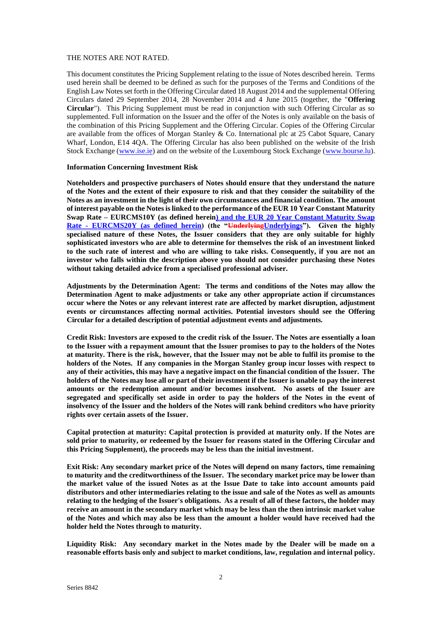### THE NOTES ARE NOT RATED.

This document constitutes the Pricing Supplement relating to the issue of Notes described herein. Terms used herein shall be deemed to be defined as such for the purposes of the Terms and Conditions of the English Law Notes set forth in the Offering Circular dated 18 August 2014 and the supplemental Offering Circulars dated 29 September 2014, 28 November 2014 and 4 June 2015 (together, the "**Offering Circular**"). This Pricing Supplement must be read in conjunction with such Offering Circular as so supplemented. Full information on the Issuer and the offer of the Notes is only available on the basis of the combination of this Pricing Supplement and the Offering Circular. Copies of the Offering Circular are available from the offices of Morgan Stanley & Co. International plc at 25 Cabot Square, Canary Wharf, London, E14 4QA. The Offering Circular has also been published on the website of the Irish Stock Exchange [\(www.ise.ie\)](http://www.ise.ie/) and on the website of the Luxembourg Stock Exchange [\(www.bourse.lu\)](http://www.bourse.lu/).

### **Information Concerning Investment Risk**

**Noteholders and prospective purchasers of Notes should ensure that they understand the nature of the Notes and the extent of their exposure to risk and that they consider the suitability of the Notes as an investment in the light of their own circumstances and financial condition. The amount of interest payable on the Notes is linked to the performance of the EUR 10 Year Constant Maturity Swap Rate – EURCMS10Y (as defined herein) and the EUR 20 Year Constant Maturity Swap Rate - EURCMS20Y (as defined herein) (the "UnderlyingUnderlyings"). Given the highly specialised nature of these Notes, the Issuer considers that they are only suitable for highly sophisticated investors who are able to determine for themselves the risk of an investment linked to the such rate of interest and who are willing to take risks. Consequently, if you are not an investor who falls within the description above you should not consider purchasing these Notes without taking detailed advice from a specialised professional adviser.** 

**Adjustments by the Determination Agent: The terms and conditions of the Notes may allow the Determination Agent to make adjustments or take any other appropriate action if circumstances occur where the Notes or any relevant interest rate are affected by market disruption, adjustment events or circumstances affecting normal activities. Potential investors should see the Offering Circular for a detailed description of potential adjustment events and adjustments.**

**Credit Risk: Investors are exposed to the credit risk of the Issuer. The Notes are essentially a loan to the Issuer with a repayment amount that the Issuer promises to pay to the holders of the Notes at maturity. There is the risk, however, that the Issuer may not be able to fulfil its promise to the holders of the Notes. If any companies in the Morgan Stanley group incur losses with respect to any of their activities, this may have a negative impact on the financial condition of the Issuer. The holders of the Notes may lose all or part of their investment if the Issuer is unable to pay the interest amounts or the redemption amount and/or becomes insolvent. No assets of the Issuer are segregated and specifically set aside in order to pay the holders of the Notes in the event of insolvency of the Issuer and the holders of the Notes will rank behind creditors who have priority rights over certain assets of the Issuer.**

**Capital protection at maturity: Capital protection is provided at maturity only. If the Notes are sold prior to maturity, or redeemed by the Issuer for reasons stated in the Offering Circular and this Pricing Supplement), the proceeds may be less than the initial investment.**

**Exit Risk: Any secondary market price of the Notes will depend on many factors, time remaining to maturity and the creditworthiness of the Issuer. The secondary market price may be lower than the market value of the issued Notes as at the Issue Date to take into account amounts paid distributors and other intermediaries relating to the issue and sale of the Notes as well as amounts relating to the hedging of the Issuer's obligations. As a result of all of these factors, the holder may receive an amount in the secondary market which may be less than the then intrinsic market value of the Notes and which may also be less than the amount a holder would have received had the holder held the Notes through to maturity.**

**Liquidity Risk: Any secondary market in the Notes made by the Dealer will be made on a reasonable efforts basis only and subject to market conditions, law, regulation and internal policy.**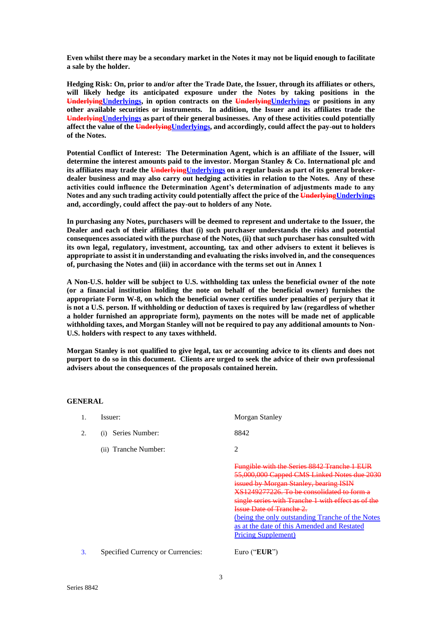**Even whilst there may be a secondary market in the Notes it may not be liquid enough to facilitate a sale by the holder.**

**Hedging Risk: On, prior to and/or after the Trade Date, the Issuer, through its affiliates or others, will likely hedge its anticipated exposure under the Notes by taking positions in the UnderlyingUnderlyings, in option contracts on the UnderlyingUnderlyings or positions in any other available securities or instruments. In addition, the Issuer and its affiliates trade the UnderlyingUnderlyings as part of their general businesses. Any of these activities could potentially**  affect the value of the UnderlyingUnderlyings, and accordingly, could affect the pay-out to holders **of the Notes.** 

**Potential Conflict of Interest: The Determination Agent, which is an affiliate of the Issuer, will determine the interest amounts paid to the investor. Morgan Stanley & Co. International plc and its affiliates may trade the UnderlyingUnderlyings on a regular basis as part of its general brokerdealer business and may also carry out hedging activities in relation to the Notes. Any of these activities could influence the Determination Agent's determination of adjustments made to any**  Notes and any such trading activity could potentially affect the price of the UnderlyingUnderlyings **and, accordingly, could affect the pay-out to holders of any Note.**

**In purchasing any Notes, purchasers will be deemed to represent and undertake to the Issuer, the Dealer and each of their affiliates that (i) such purchaser understands the risks and potential consequences associated with the purchase of the Notes, (ii) that such purchaser has consulted with its own legal, regulatory, investment, accounting, tax and other advisers to extent it believes is appropriate to assist it in understanding and evaluating the risks involved in, and the consequences of, purchasing the Notes and (iii) in accordance with the terms set out in Annex 1**

**A Non-U.S. holder will be subject to U.S. withholding tax unless the beneficial owner of the note (or a financial institution holding the note on behalf of the beneficial owner) furnishes the appropriate Form W-8, on which the beneficial owner certifies under penalties of perjury that it is not a U.S. person. If withholding or deduction of taxes is required by law (regardless of whether a holder furnished an appropriate form), payments on the notes will be made net of applicable withholding taxes, and Morgan Stanley will not be required to pay any additional amounts to Non-U.S. holders with respect to any taxes withheld.**

**Morgan Stanley is not qualified to give legal, tax or accounting advice to its clients and does not purport to do so in this document. Clients are urged to seek the advice of their own professional advisers about the consequences of the proposals contained herein.**

**GENERAL**

| Issuer:                           | Morgan Stanley                                                                                                                                                                                                                                                                                                                                                                                                 |
|-----------------------------------|----------------------------------------------------------------------------------------------------------------------------------------------------------------------------------------------------------------------------------------------------------------------------------------------------------------------------------------------------------------------------------------------------------------|
| Series Number:<br>(1)             | 8842                                                                                                                                                                                                                                                                                                                                                                                                           |
| (ii) Tranche Number:              | 2                                                                                                                                                                                                                                                                                                                                                                                                              |
|                                   | <b>Fungible with the Series 8842 Tranche 1 EUR</b><br>55,000,000 Capped CMS Linked Notes due 2030<br>issued by Morgan Stanley, bearing ISIN<br>XS1249277226. To be consolidated to form a<br>single series with Tranche 1 with effect as of the<br>Issue Date of Tranche 2.<br>(being the only outstanding Tranche of the Notes)<br>as at the date of this Amended and Restated<br><b>Pricing Supplement</b> ) |
| Specified Currency or Currencies: | Euro (" $EUR$ ")                                                                                                                                                                                                                                                                                                                                                                                               |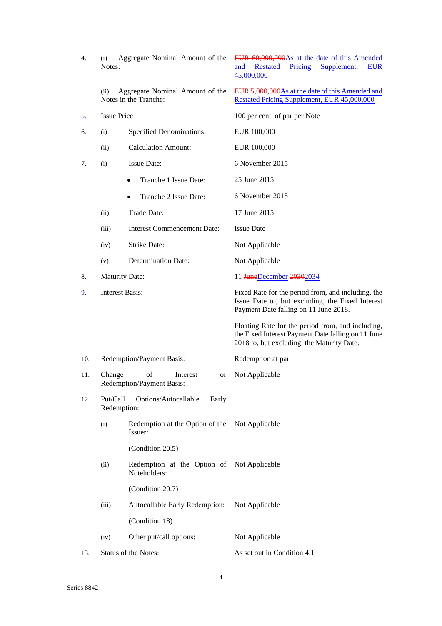| 4.  | (i)<br>Notes:           | Aggregate Nominal Amount of the                            | EUR 60,000,000 As at the date of this Amended<br>Supplement,<br>and Restated Pricing<br><b>EUR</b><br>45,000,000                                      |  |
|-----|-------------------------|------------------------------------------------------------|-------------------------------------------------------------------------------------------------------------------------------------------------------|--|
|     | (ii)                    | Aggregate Nominal Amount of the<br>Notes in the Tranche:   | EUR 5,000,000 As at the date of this Amended and<br><b>Restated Pricing Supplement, EUR 45,000,000</b>                                                |  |
| 5.  | <b>Issue Price</b>      |                                                            | 100 per cent. of par per Note                                                                                                                         |  |
| 6.  | (i)                     | <b>Specified Denominations:</b>                            | EUR 100,000                                                                                                                                           |  |
|     | (ii)                    | <b>Calculation Amount:</b>                                 | EUR 100,000                                                                                                                                           |  |
| 7.  | (i)                     | <b>Issue Date:</b>                                         | 6 November 2015                                                                                                                                       |  |
|     |                         | Tranche 1 Issue Date:<br>$\bullet$                         | 25 June 2015                                                                                                                                          |  |
|     |                         | Tranche 2 Issue Date:<br>٠                                 | 6 November 2015                                                                                                                                       |  |
|     | (ii)                    | Trade Date:                                                | 17 June 2015                                                                                                                                          |  |
|     | (iii)                   | <b>Interest Commencement Date:</b>                         | <b>Issue Date</b>                                                                                                                                     |  |
|     | (iv)                    | <b>Strike Date:</b>                                        | Not Applicable                                                                                                                                        |  |
|     | (v)                     | <b>Determination Date:</b>                                 | Not Applicable                                                                                                                                        |  |
| 8.  | <b>Maturity Date:</b>   |                                                            | 11 <del>JuneDecember</del> 20302034                                                                                                                   |  |
| 9.  | <b>Interest Basis:</b>  |                                                            | Fixed Rate for the period from, and including, the<br>Issue Date to, but excluding, the Fixed Interest<br>Payment Date falling on 11 June 2018.       |  |
|     |                         |                                                            | Floating Rate for the period from, and including,<br>the Fixed Interest Payment Date falling on 11 June<br>2018 to, but excluding, the Maturity Date. |  |
| 10. |                         | Redemption/Payment Basis:                                  | Redemption at par                                                                                                                                     |  |
| 11. | Change                  | of<br>Interest<br>or<br><b>Redemption/Payment Basis:</b>   | Not Applicable                                                                                                                                        |  |
| 12. | Put/Call<br>Redemption: | Options/Autocallable<br>Early                              |                                                                                                                                                       |  |
|     | (i)                     | Redemption at the Option of the<br>Issuer:                 | Not Applicable                                                                                                                                        |  |
|     |                         | (Condition 20.5)                                           |                                                                                                                                                       |  |
|     | (ii)                    | Redemption at the Option of Not Applicable<br>Noteholders: |                                                                                                                                                       |  |
|     |                         | (Condition 20.7)                                           |                                                                                                                                                       |  |
|     | (iii)                   | Autocallable Early Redemption:                             | Not Applicable                                                                                                                                        |  |
|     |                         | (Condition 18)                                             |                                                                                                                                                       |  |
|     | (iv)                    | Other put/call options:                                    | Not Applicable                                                                                                                                        |  |
| 13. |                         | Status of the Notes:                                       | As set out in Condition 4.1                                                                                                                           |  |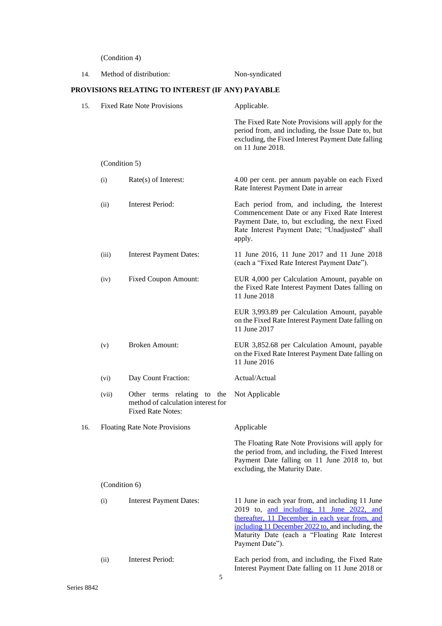(Condition 4)

| 14. |               | Method of distribution:                                                                       | Non-syndicated                                                                                                                                                                                                                                                           |
|-----|---------------|-----------------------------------------------------------------------------------------------|--------------------------------------------------------------------------------------------------------------------------------------------------------------------------------------------------------------------------------------------------------------------------|
|     |               | PROVISIONS RELATING TO INTEREST (IF ANY) PAYABLE                                              |                                                                                                                                                                                                                                                                          |
| 15. |               | <b>Fixed Rate Note Provisions</b>                                                             | Applicable.                                                                                                                                                                                                                                                              |
|     |               |                                                                                               | The Fixed Rate Note Provisions will apply for the<br>period from, and including, the Issue Date to, but<br>excluding, the Fixed Interest Payment Date falling<br>on 11 June 2018.                                                                                        |
|     | (Condition 5) |                                                                                               |                                                                                                                                                                                                                                                                          |
|     | (i)           | $Rate(s)$ of Interest:                                                                        | 4.00 per cent. per annum payable on each Fixed<br>Rate Interest Payment Date in arrear                                                                                                                                                                                   |
|     | (ii)          | <b>Interest Period:</b>                                                                       | Each period from, and including, the Interest<br>Commencement Date or any Fixed Rate Interest<br>Payment Date, to, but excluding, the next Fixed<br>Rate Interest Payment Date; "Unadjusted" shall<br>apply.                                                             |
|     | (iii)         | <b>Interest Payment Dates:</b>                                                                | 11 June 2016, 11 June 2017 and 11 June 2018<br>(each a "Fixed Rate Interest Payment Date").                                                                                                                                                                              |
|     | (iv)          | <b>Fixed Coupon Amount:</b>                                                                   | EUR 4,000 per Calculation Amount, payable on<br>the Fixed Rate Interest Payment Dates falling on<br>11 June 2018                                                                                                                                                         |
|     |               |                                                                                               | EUR 3,993.89 per Calculation Amount, payable<br>on the Fixed Rate Interest Payment Date falling on<br>11 June 2017                                                                                                                                                       |
|     | (v)           | <b>Broken Amount:</b>                                                                         | EUR 3,852.68 per Calculation Amount, payable<br>on the Fixed Rate Interest Payment Date falling on<br>11 June 2016                                                                                                                                                       |
|     | (vi)          | Day Count Fraction:                                                                           | Actual/Actual                                                                                                                                                                                                                                                            |
|     | (vii)         | Other terms relating to the<br>method of calculation interest for<br><b>Fixed Rate Notes:</b> | Not Applicable                                                                                                                                                                                                                                                           |
| 16. |               | <b>Floating Rate Note Provisions</b>                                                          | Applicable                                                                                                                                                                                                                                                               |
|     |               |                                                                                               | The Floating Rate Note Provisions will apply for<br>the period from, and including, the Fixed Interest<br>Payment Date falling on 11 June 2018 to, but<br>excluding, the Maturity Date.                                                                                  |
|     | (Condition 6) |                                                                                               |                                                                                                                                                                                                                                                                          |
|     | (i)           | <b>Interest Payment Dates:</b>                                                                | 11 June in each year from, and including 11 June<br>2019 to, and including, 11 June 2022, and<br>thereafter, 11 December in each year from, and<br>including 11 December 2022 to, and including, the<br>Maturity Date (each a "Floating Rate Interest<br>Payment Date"). |
|     | (ii)          | <b>Interest Period:</b><br>5                                                                  | Each period from, and including, the Fixed Rate<br>Interest Payment Date falling on 11 June 2018 or                                                                                                                                                                      |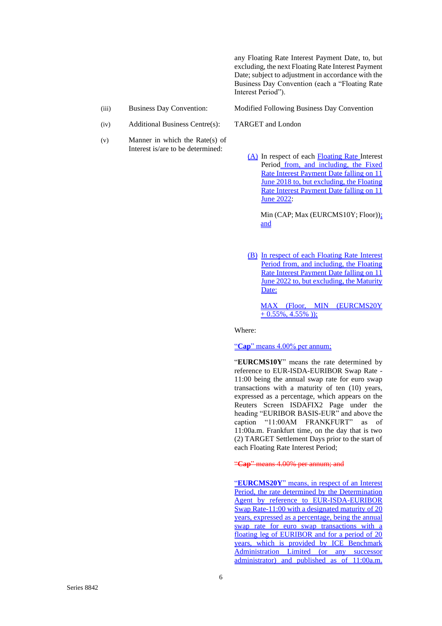any Floating Rate Interest Payment Date, to, but excluding, the next Floating Rate Interest Payment Date; subject to adjustment in accordance with the Business Day Convention (each a "Floating Rate Interest Period").

- 
- (iv) Additional Business Centre(s): TARGET and London
- (v) Manner in which the Rate(s) of Interest is/are to be determined:

(iii) Business Day Convention: Modified Following Business Day Convention

(A) In respect of each Floating Rate Interest Period from, and including, the Fixed Rate Interest Payment Date falling on 11 June 2018 to, but excluding, the Floating Rate Interest Payment Date falling on 11 June 2022:

Min (CAP; Max (EURCMS10Y; Floor)); and

(B) In respect of each Floating Rate Interest Period from, and including, the Floating Rate Interest Payment Date falling on 11 June 2022 to, but excluding, the Maturity Date:

MAX (Floor, MIN (EURCMS20Y  $+ 0.55\%, 4.55\%$ ));

Where:

"**Cap**" means 4.00% per annum;

"**EURCMS10Y**" means the rate determined by reference to EUR-ISDA-EURIBOR Swap Rate - 11:00 being the annual swap rate for euro swap transactions with a maturity of ten (10) years, expressed as a percentage, which appears on the Reuters Screen ISDAFIX2 Page under the heading "EURIBOR BASIS-EUR" and above the caption "11:00AM FRANKFURT" as of 11:00a.m. Frankfurt time, on the day that is two (2) TARGET Settlement Days prior to the start of each Floating Rate Interest Period;

"**Cap**" means 4.00% per annum; and

"**EURCMS20Y**" means, in respect of an Interest Period, the rate determined by the Determination Agent by reference to EUR-ISDA-EURIBOR Swap Rate-11:00 with a designated maturity of 20 years, expressed as a percentage, being the annual swap rate for euro swap transactions with a floating leg of EURIBOR and for a period of 20 years, which is provided by ICE Benchmark Administration Limited (or any successor administrator) and published as of 11:00a.m.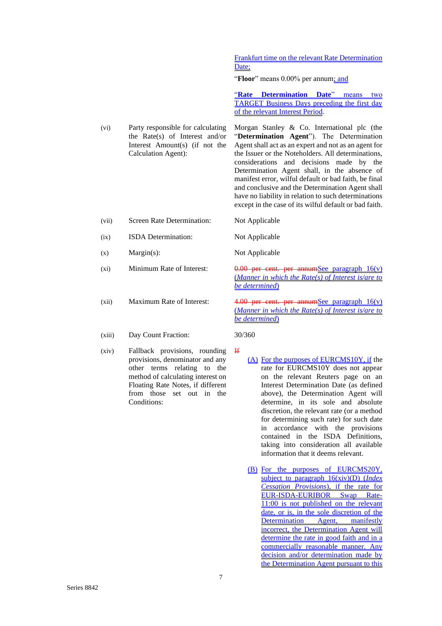Frankfurt time on the relevant Rate Determination Date;

"**Floor**" means 0.00% per annum; and

"**Rate Determination Date**" means two TARGET Business Days preceding the first day of the relevant Interest Period.

Determination Agent shall, in the absence of manifest error, wilful default or bad faith, be final and conclusive and the Determination Agent shall have no liability in relation to such determinations except in the case of its wilful default or bad faith.

- (vi) Party responsible for calculating the Rate(s) of Interest and/or Interest Amount(s) (if not the Calculation Agent): Morgan Stanley & Co. International plc (the "**Determination Agent**"). The Determination Agent shall act as an expert and not as an agent for the Issuer or the Noteholders. All determinations, considerations and decisions made by the
- (vii) Screen Rate Determination: Not Applicable
- (ix) ISDA Determination: Not Applicable
- (x) Margin(s): Not Applicable
- (xi) Minimum Rate of Interest:  $0.00$  per cent. per annumSee paragraph  $16(y)$
- 
- (xiii) Day Count Fraction: 30/360
- (xiv) Fallback provisions, rounding provisions, denominator and any other terms relating to the method of calculating interest on Floating Rate Notes, if different from those set out in the Conditions:

*be determined*) (xii) Maximum Rate of Interest:  $\frac{4.00}{4.00}$  per cent. per annumSee paragraph  $16(y)$ (*Manner in which the Rate(s) of Interest is/are to* 

(*Manner in which the Rate(s) of Interest is/are to* 

*be determined*)

- If
- (A) For the purposes of EURCMS10Y, if the rate for EURCMS10Y does not appear on the relevant Reuters page on an Interest Determination Date (as defined above), the Determination Agent will determine, in its sole and absolute discretion, the relevant rate (or a method for determining such rate) for such date in accordance with the provisions contained in the ISDA Definitions, taking into consideration all available information that it deems relevant.
- (B) For the purposes of EURCMS20Y, subject to paragraph 16(xiv)(D) (*Index Cessation Provisions*), if the rate for EUR-ISDA-EURIBOR Swap Rate-11:00 is not published on the relevant date, or is, in the sole discretion of the Determination Agent, manifestly incorrect, the Determination Agent will determine the rate in good faith and in a commercially reasonable manner. Any decision and/or determination made by the Determination Agent pursuant to this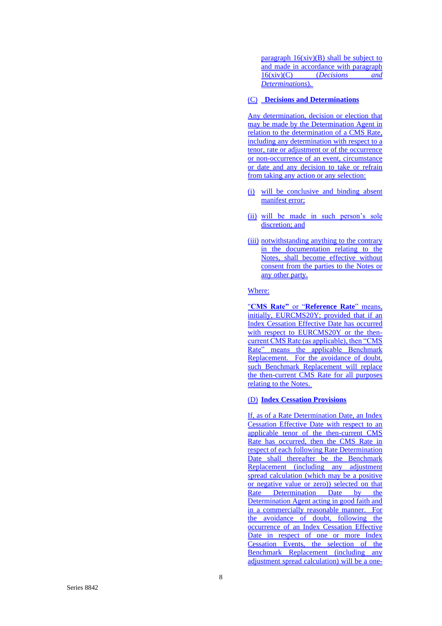paragraph  $16(xiv)(B)$  shall be subject to and made in accordance with paragraph 16(xiv)(C) (*Decisions and Determinations*).

### (C) **Decisions and Determinations**

Any determination, decision or election that may be made by the Determination Agent in relation to the determination of a CMS Rate, including any determination with respect to a tenor, rate or adjustment or of the occurrence or non -occurrence of an event, circumstance or date and any decision to take or refrain from taking any action or any selection:

- (i) will be conclusive and binding absent manifest error;
- (ii) will be made in such person's sole discretion; and
- (iii) notwithstanding anything to the contrary in the documentation relating to the Notes, shall become effective without consent from the parties to the Notes or any other party.

Where: "**CMS Rate"** or "**Reference Rate**" means, initially, EURCMS20Y; provided that if an Index Cessation Effective Date has occurred with respect to EURCMS20Y or the thencurrent CMS Rate (as applicable), then "CMS Rate" means the applicable Benchmark Replacement. For the avoidance of doubt, such Benchmark Replacement will replace the then -current CMS Rate for all purposes relating to the Notes.

### (D) **Index Cessation Provisions**

If, as of a Rate Determination Date, an Index Cessation Effective Date with respect to an applicable tenor of the then-current CMS Rate has occurred, then the CMS Rate in respect of each following Rate Determination Date shall thereafter be the Benchmark Replacement (including any adjustment spread calculation (which may be a positive or negative value or zero)) selected on that Rate Determination Date by the Determination Agent acting in good faith and in a commercially reasonable manner. For the avoidance of doubt, following the occurrence of an Index Cessation Effective Date in respect of one or more Index Cessation Events, the selection of the Benchmark Replacement (including any adjustment spread calculation) will be a one-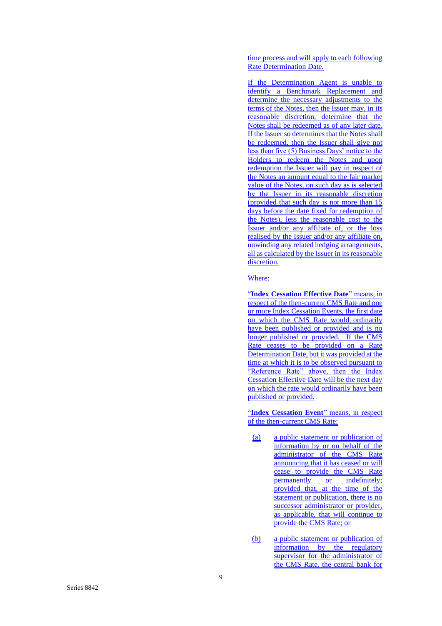time process and will apply to each following Rate Determination Date.

If the Determination Agent is unable to identify a Benchmark Replacement and determine the necessary adjustments to the terms of the Notes, then the Issuer may, in its reasonable discretion, determine that the Notes shall be redeemed as of any later date. If the Issuer so determines that the Notes shall be redeemed, then the Issuer shall give not less than five (5) Business Days' notice to the Holders to redeem the Notes and upon redemption the Issuer will pay in respect of the Notes an amount equal to the fair market value of the Notes, on such day as is selected by the Issuer in its reasonable discretion (provided that such day is not more than 15 days before the date fixed for redemption of the Notes), less the reasonable cost to the Issuer and/or any affiliate of, or the loss realised by the Issuer and/or any affiliate on, unwinding any related hedging arrangements, all as calculated by the Issuer in its reasonable discretion.

### Where:

"**Index Cessation Effective Date**" means, in respect of the then-current CMS Rate and one or more Index Cessation Events, the first date on which the CMS Rate would ordinarily have been published or provided and is no longer published or provided. If the CMS Rate ceases to be provided on a Rate Determination Date, but it was provided at the time at which it is to be observed pursuant to "Reference Rate" above, then the Index Cessation Effective Date will be the next day on which the rate would ordinarily have been published or provided.

"**Index Cessation Event**" means, in respect of the then-current CMS Rate:

- (a) a public statement or publication of information by or on behalf of the administrator of the CMS Rate announcing that it has ceased or will cease to provide the CMS Rate permanently or indefinitely; provided that, at the time of the statement or publication, there is no successor administrator or provider, as applicable, that will continue to provide the CMS Rate; or
- (b) a public statement or publication of information by the regulatory supervisor for the administrator of the CMS Rate, the central bank for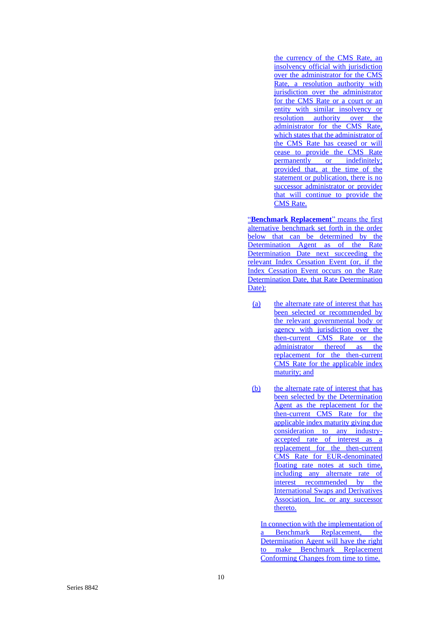the currency of the CMS Rate, an insolvency official with jurisdiction over the administrator for the CMS Rate, a resolution authority with jurisdiction over the administrator for the CMS Rate or a court or an entity with similar insolvency or resolution authority over the administrator for the CMS Rate, which states that the administrator of the CMS Rate has ceased or will cease to provide the CMS Rate permanently or indefinitely; provided that, at the time of the statement or publication, there is no successor administrator or provider that will continue to provide the CMS Rate.

"**Benchmark Replacement**" means the first alternative benchmark set forth in the order below that can be determined by the Determination Agent as of the Rate Determination Date next succeeding the relevant Index Cessation Event (or, if the Index Cessation Event occurs on the Rate Determination Date, that Rate Determination Date):

- (a) the alternate rate of interest that has been selected or recommended by the relevant governmental body or agency with jurisdiction over the then -current CMS Rate or the administrator thereof as the replacement for the then -current CMS Rate for the applicable index maturity; and
- (b) the alternate rate of interest that has been selected by the Determination Agent as the replacement for the then -current CMS Rate for the applicable index maturity giving due consideration to any industry accepted rate of interest as a replacement for the then-current CMS Rate for EUR -denominated floating rate notes at such time, including any alternate rate of interest recommended by the International Swaps and Derivatives Association, Inc. or any successor thereto.

In connection with the implementation of a Benchmark Replacement, the Determination Agent will have the right to make Benchmark Replacement Conforming Changes from time to time.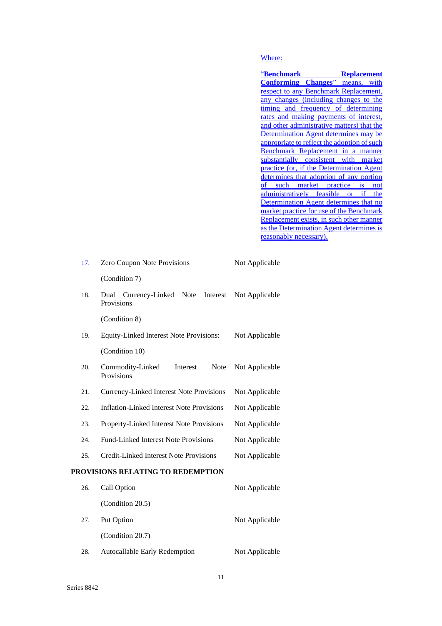# Where:

| <u>"Benchmark</u>                           | <b>Replacement</b> |
|---------------------------------------------|--------------------|
| <b>Conforming Changes</b> " means, with     |                    |
| respect to any Benchmark Replacement,       |                    |
| any changes (including changes to the       |                    |
| timing and frequency of determining         |                    |
| rates and making payments of interest,      |                    |
| and other administrative matters) that the  |                    |
| Determination Agent determines may be       |                    |
| appropriate to reflect the adoption of such |                    |
| Benchmark Replacement in a manner           |                    |
| substantially consistent with market        |                    |
| practice (or, if the Determination Agent    |                    |
| determines that adoption of any portion     |                    |
| of such market practice is not              |                    |
| administratively feasible or if the         |                    |
| Determination Agent determines that no      |                    |
| market practice for use of the Benchmark    |                    |
| Replacement exists, in such other manner    |                    |
| as the Determination Agent determines is    |                    |
| <u>reasonably necessary).</u>               |                    |

| 17. | Zero Coupon Note Provisions                               | Not Applicable |
|-----|-----------------------------------------------------------|----------------|
|     | (Condition 7)                                             |                |
| 18. | Currency-Linked<br>Note<br>Interest<br>Dual<br>Provisions | Not Applicable |
|     | (Condition 8)                                             |                |
| 19. | Equity-Linked Interest Note Provisions:                   | Not Applicable |
|     | (Condition 10)                                            |                |
| 20. | Commodity-Linked<br>Interest<br>Note<br>Provisions        | Not Applicable |
| 21. | <b>Currency-Linked Interest Note Provisions</b>           | Not Applicable |
| 22. | <b>Inflation-Linked Interest Note Provisions</b>          | Not Applicable |
| 23. | Property-Linked Interest Note Provisions                  | Not Applicable |
| 24. | <b>Fund-Linked Interest Note Provisions</b>               | Not Applicable |
| 25. | <b>Credit-Linked Interest Note Provisions</b>             | Not Applicable |
|     | PROVISIONS RELATING TO REDEMPTION                         |                |
| 26. | Call Option                                               | Not Applicable |
|     | (Condition 20.5)                                          |                |
| 27. | Put Option                                                | Not Applicable |
|     | (Condition 20.7)                                          |                |
| 28. | Autocallable Early Redemption                             | Not Applicable |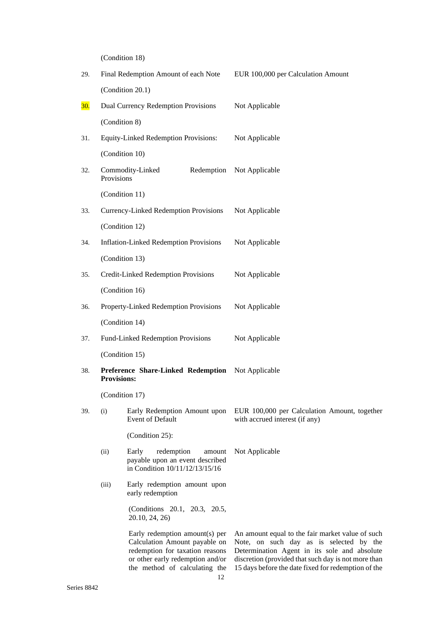(Condition 18)

| 29.        |                    | Final Redemption Amount of each Note                                                                                                                                    | EUR 100,000 per Calculation Amount                                                                                                                                                                                                                        |  |
|------------|--------------------|-------------------------------------------------------------------------------------------------------------------------------------------------------------------------|-----------------------------------------------------------------------------------------------------------------------------------------------------------------------------------------------------------------------------------------------------------|--|
|            |                    | (Condition 20.1)                                                                                                                                                        |                                                                                                                                                                                                                                                           |  |
| <b>30.</b> |                    | Dual Currency Redemption Provisions                                                                                                                                     | Not Applicable                                                                                                                                                                                                                                            |  |
|            | (Condition 8)      |                                                                                                                                                                         |                                                                                                                                                                                                                                                           |  |
| 31.        |                    | <b>Equity-Linked Redemption Provisions:</b>                                                                                                                             | Not Applicable                                                                                                                                                                                                                                            |  |
|            | (Condition 10)     |                                                                                                                                                                         |                                                                                                                                                                                                                                                           |  |
| 32.        | Provisions         | Commodity-Linked<br>Redemption                                                                                                                                          | Not Applicable                                                                                                                                                                                                                                            |  |
|            | (Condition 11)     |                                                                                                                                                                         |                                                                                                                                                                                                                                                           |  |
| 33.        |                    | <b>Currency-Linked Redemption Provisions</b>                                                                                                                            | Not Applicable                                                                                                                                                                                                                                            |  |
|            | (Condition 12)     |                                                                                                                                                                         |                                                                                                                                                                                                                                                           |  |
| 34.        |                    | <b>Inflation-Linked Redemption Provisions</b>                                                                                                                           | Not Applicable                                                                                                                                                                                                                                            |  |
|            | (Condition 13)     |                                                                                                                                                                         |                                                                                                                                                                                                                                                           |  |
| 35.        |                    | Credit-Linked Redemption Provisions                                                                                                                                     | Not Applicable                                                                                                                                                                                                                                            |  |
|            | (Condition 16)     |                                                                                                                                                                         |                                                                                                                                                                                                                                                           |  |
| 36.        |                    | Property-Linked Redemption Provisions                                                                                                                                   | Not Applicable                                                                                                                                                                                                                                            |  |
|            | (Condition 14)     |                                                                                                                                                                         |                                                                                                                                                                                                                                                           |  |
| 37.        |                    | Fund-Linked Redemption Provisions                                                                                                                                       | Not Applicable                                                                                                                                                                                                                                            |  |
|            | (Condition 15)     |                                                                                                                                                                         |                                                                                                                                                                                                                                                           |  |
| 38.        | <b>Provisions:</b> | Preference Share-Linked Redemption                                                                                                                                      | Not Applicable                                                                                                                                                                                                                                            |  |
|            | (Condition 17)     |                                                                                                                                                                         |                                                                                                                                                                                                                                                           |  |
| 39.        | (i)                | Early Redemption Amount upon<br><b>Event of Default</b>                                                                                                                 | EUR 100,000 per Calculation Amount, together<br>with accrued interest (if any)                                                                                                                                                                            |  |
|            |                    | (Condition 25):                                                                                                                                                         |                                                                                                                                                                                                                                                           |  |
|            | (ii)               | Early<br>redemption<br>amount<br>payable upon an event described<br>in Condition 10/11/12/13/15/16                                                                      | Not Applicable                                                                                                                                                                                                                                            |  |
|            | (iii)              | Early redemption amount upon<br>early redemption                                                                                                                        |                                                                                                                                                                                                                                                           |  |
|            |                    | (Conditions 20.1, 20.3, 20.5,<br>20.10, 24, 26)                                                                                                                         |                                                                                                                                                                                                                                                           |  |
|            |                    | Early redemption amount(s) per<br>Calculation Amount payable on<br>redemption for taxation reasons<br>or other early redemption and/or<br>the method of calculating the | An amount equal to the fair market value of such<br>Note, on such day as is selected by the<br>Determination Agent in its sole and absolute<br>discretion (provided that such day is not more than<br>15 days before the date fixed for redemption of the |  |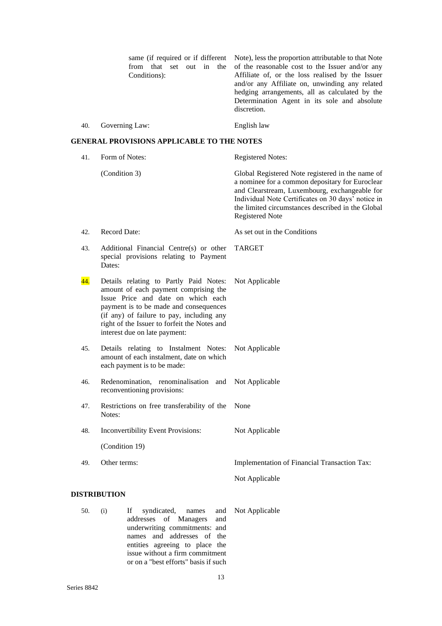|     | from that set<br>out in<br>the<br>Conditions):                                                                                                                                                                                                                                                | same (if required or if different Note), less the proportion attributable to that Note<br>of the reasonable cost to the Issuer and/or any<br>Affiliate of, or the loss realised by the Issuer<br>and/or any Affiliate on, unwinding any related<br>hedging arrangements, all as calculated by the<br>Determination Agent in its sole and absolute<br>discretion. |
|-----|-----------------------------------------------------------------------------------------------------------------------------------------------------------------------------------------------------------------------------------------------------------------------------------------------|------------------------------------------------------------------------------------------------------------------------------------------------------------------------------------------------------------------------------------------------------------------------------------------------------------------------------------------------------------------|
| 40. | Governing Law:                                                                                                                                                                                                                                                                                | English law                                                                                                                                                                                                                                                                                                                                                      |
|     | <b>GENERAL PROVISIONS APPLICABLE TO THE NOTES</b>                                                                                                                                                                                                                                             |                                                                                                                                                                                                                                                                                                                                                                  |
| 41. | Form of Notes:                                                                                                                                                                                                                                                                                | <b>Registered Notes:</b>                                                                                                                                                                                                                                                                                                                                         |
|     | (Condition 3)                                                                                                                                                                                                                                                                                 | Global Registered Note registered in the name of<br>a nominee for a common depositary for Euroclear<br>and Clearstream, Luxembourg, exchangeable for<br>Individual Note Certificates on 30 days' notice in<br>the limited circumstances described in the Global<br><b>Registered Note</b>                                                                        |
| 42. | <b>Record Date:</b>                                                                                                                                                                                                                                                                           | As set out in the Conditions                                                                                                                                                                                                                                                                                                                                     |
| 43. | Additional Financial Centre(s) or other<br>special provisions relating to Payment<br>Dates:                                                                                                                                                                                                   | TARGET                                                                                                                                                                                                                                                                                                                                                           |
| 44. | Details relating to Partly Paid Notes:<br>amount of each payment comprising the<br>Issue Price and date on which each<br>payment is to be made and consequences<br>(if any) of failure to pay, including any<br>right of the Issuer to forfeit the Notes and<br>interest due on late payment: | Not Applicable                                                                                                                                                                                                                                                                                                                                                   |
| 45. | Details relating to Instalment Notes:<br>amount of each instalment, date on which<br>each payment is to be made:                                                                                                                                                                              | Not Applicable                                                                                                                                                                                                                                                                                                                                                   |
| 46. | Redenomination, renominalisation and Not Applicable<br>reconventioning provisions:                                                                                                                                                                                                            |                                                                                                                                                                                                                                                                                                                                                                  |
| 47. | Restrictions on free transferability of the<br>Notes:                                                                                                                                                                                                                                         | None                                                                                                                                                                                                                                                                                                                                                             |
| 48. | Inconvertibility Event Provisions:                                                                                                                                                                                                                                                            | Not Applicable                                                                                                                                                                                                                                                                                                                                                   |
|     | (Condition 19)                                                                                                                                                                                                                                                                                |                                                                                                                                                                                                                                                                                                                                                                  |
| 49. | Other terms:                                                                                                                                                                                                                                                                                  | Implementation of Financial Transaction Tax:                                                                                                                                                                                                                                                                                                                     |
|     |                                                                                                                                                                                                                                                                                               | Not Applicable                                                                                                                                                                                                                                                                                                                                                   |
|     | <b>DISTRIBUTION</b>                                                                                                                                                                                                                                                                           |                                                                                                                                                                                                                                                                                                                                                                  |
| 50. | syndicated,<br>If<br>(i)<br>and<br>names<br>addresses<br>of Managers<br>and                                                                                                                                                                                                                   | Not Applicable                                                                                                                                                                                                                                                                                                                                                   |

underwriting commitments: and names and addresses of the entities agreeing to place the issue without a firm commitment or on a "best efforts" basis if such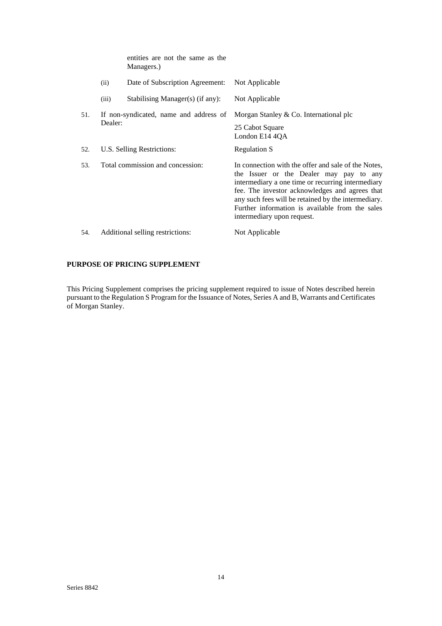|     |         | entities are not the same as the<br>Managers.) |                                                                                                                                                                                                                                                                                                                                               |
|-----|---------|------------------------------------------------|-----------------------------------------------------------------------------------------------------------------------------------------------------------------------------------------------------------------------------------------------------------------------------------------------------------------------------------------------|
|     | (ii)    | Date of Subscription Agreement:                | Not Applicable                                                                                                                                                                                                                                                                                                                                |
|     | (iii)   | Stabilising Manager(s) (if any):               | Not Applicable                                                                                                                                                                                                                                                                                                                                |
| 51. | Dealer: | If non-syndicated, name and address of         | Morgan Stanley & Co. International plc<br>25 Cabot Square<br>London E14 4QA                                                                                                                                                                                                                                                                   |
| 52. |         | U.S. Selling Restrictions:                     | <b>Regulation S</b>                                                                                                                                                                                                                                                                                                                           |
| 53. |         | Total commission and concession:               | In connection with the offer and sale of the Notes,<br>the Issuer or the Dealer may pay to any<br>intermediary a one time or recurring intermediary<br>fee. The investor acknowledges and agrees that<br>any such fees will be retained by the intermediary.<br>Further information is available from the sales<br>intermediary upon request. |
| 54. |         | Additional selling restrictions:               | Not Applicable                                                                                                                                                                                                                                                                                                                                |

# **PURPOSE OF PRICING SUPPLEMENT**

This Pricing Supplement comprises the pricing supplement required to issue of Notes described herein pursuant to the Regulation S Program for the Issuance of Notes, Series A and B, Warrants and Certificates of Morgan Stanley.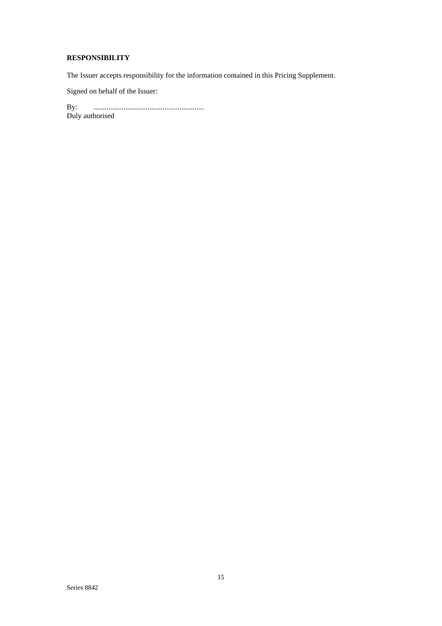# **RESPONSIBILITY**

The Issuer accepts responsibility for the information contained in this Pricing Supplement.

Signed on behalf of the Issuer:

By: ........................................................... By: .............<br>Duly authorised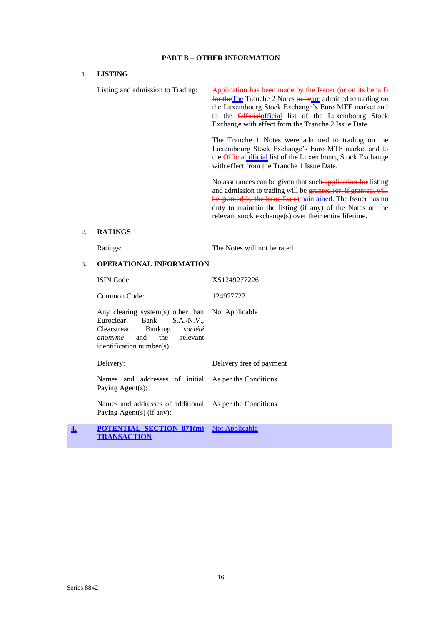### **PART B – OTHER INFORMATION**

## 1. **LISTING**

Listing and admission to Trading: Application has been made by the Issuer (or on its behalf) for the The Tranche 2 Notes to beare admitted to trading on the Luxembourg Stock Exchange's Euro MTF market and to the Officialofficial list of the Luxembourg Stock Exchange with effect from the Tranche 2 Issue Date. The Tranche 1 Notes were admitted to trading on the Luxembourg Stock Exchange's Euro MTF market and to the **Official** list of the Luxembourg Stock Exchange with effect from the Tranche 1 Issue Date. No assurances can be given that such application for listing and admission to trading will be granted (or, if granted, will be granted by the Issue Date)maintained. The Issuer has no

### 2. **RATINGS**

Ratings: The Notes will not be rated

duty to maintain the listing (if any) of the Notes on the relevant stock exchange(s) over their entire lifetime.

### 3. **OPERATIONAL INFORMATION**

| ISIN Code:                                                                                                                                                                   | XS1249277226             |
|------------------------------------------------------------------------------------------------------------------------------------------------------------------------------|--------------------------|
| Common Code:                                                                                                                                                                 | 124927722                |
| Any clearing system(s) other than Not Applicable<br>Euroclear Bank S.A./N.V.,<br>Clearstream Banking société<br><i>anonyme</i> and the relevant<br>identification number(s): |                          |
| Delivery:                                                                                                                                                                    | Delivery free of payment |
| Names and addresses of initial As per the Conditions<br>Paying Agent(s):                                                                                                     |                          |
| Names and addresses of additional As per the Conditions<br>Paying Agent(s) (if any):                                                                                         |                          |
| <b>POTENTIAL SECTION 871(m)</b> Not Applicable<br>TRANSACTION                                                                                                                |                          |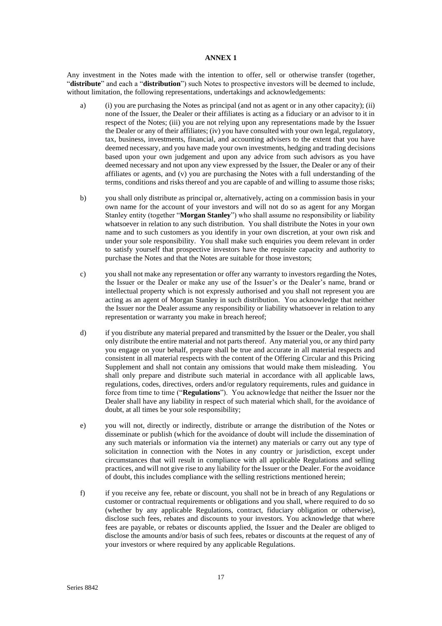### **ANNEX 1**

Any investment in the Notes made with the intention to offer, sell or otherwise transfer (together, "**distribute**" and each a "**distribution**") such Notes to prospective investors will be deemed to include, without limitation, the following representations, undertakings and acknowledgements:

- a) (i) you are purchasing the Notes as principal (and not as agent or in any other capacity); (ii) none of the Issuer, the Dealer or their affiliates is acting as a fiduciary or an advisor to it in respect of the Notes; (iii) you are not relying upon any representations made by the Issuer the Dealer or any of their affiliates; (iv) you have consulted with your own legal, regulatory, tax, business, investments, financial, and accounting advisers to the extent that you have deemed necessary, and you have made your own investments, hedging and trading decisions based upon your own judgement and upon any advice from such advisors as you have deemed necessary and not upon any view expressed by the Issuer, the Dealer or any of their affiliates or agents, and (v) you are purchasing the Notes with a full understanding of the terms, conditions and risks thereof and you are capable of and willing to assume those risks;
- b) you shall only distribute as principal or, alternatively, acting on a commission basis in your own name for the account of your investors and will not do so as agent for any Morgan Stanley entity (together "**Morgan Stanley**") who shall assume no responsibility or liability whatsoever in relation to any such distribution. You shall distribute the Notes in your own name and to such customers as you identify in your own discretion, at your own risk and under your sole responsibility. You shall make such enquiries you deem relevant in order to satisfy yourself that prospective investors have the requisite capacity and authority to purchase the Notes and that the Notes are suitable for those investors;
- c) you shall not make any representation or offer any warranty to investors regarding the Notes, the Issuer or the Dealer or make any use of the Issuer's or the Dealer's name, brand or intellectual property which is not expressly authorised and you shall not represent you are acting as an agent of Morgan Stanley in such distribution. You acknowledge that neither the Issuer nor the Dealer assume any responsibility or liability whatsoever in relation to any representation or warranty you make in breach hereof;
- d) if you distribute any material prepared and transmitted by the Issuer or the Dealer, you shall only distribute the entire material and not parts thereof. Any material you, or any third party you engage on your behalf, prepare shall be true and accurate in all material respects and consistent in all material respects with the content of the Offering Circular and this Pricing Supplement and shall not contain any omissions that would make them misleading. You shall only prepare and distribute such material in accordance with all applicable laws, regulations, codes, directives, orders and/or regulatory requirements, rules and guidance in force from time to time ("**Regulations**"). You acknowledge that neither the Issuer nor the Dealer shall have any liability in respect of such material which shall, for the avoidance of doubt, at all times be your sole responsibility;
- e) you will not, directly or indirectly, distribute or arrange the distribution of the Notes or disseminate or publish (which for the avoidance of doubt will include the dissemination of any such materials or information via the internet) any materials or carry out any type of solicitation in connection with the Notes in any country or jurisdiction, except under circumstances that will result in compliance with all applicable Regulations and selling practices, and will not give rise to any liability for the Issuer or the Dealer. For the avoidance of doubt, this includes compliance with the selling restrictions mentioned herein;
- f) if you receive any fee, rebate or discount, you shall not be in breach of any Regulations or customer or contractual requirements or obligations and you shall, where required to do so (whether by any applicable Regulations, contract, fiduciary obligation or otherwise), disclose such fees, rebates and discounts to your investors. You acknowledge that where fees are payable, or rebates or discounts applied, the Issuer and the Dealer are obliged to disclose the amounts and/or basis of such fees, rebates or discounts at the request of any of your investors or where required by any applicable Regulations.